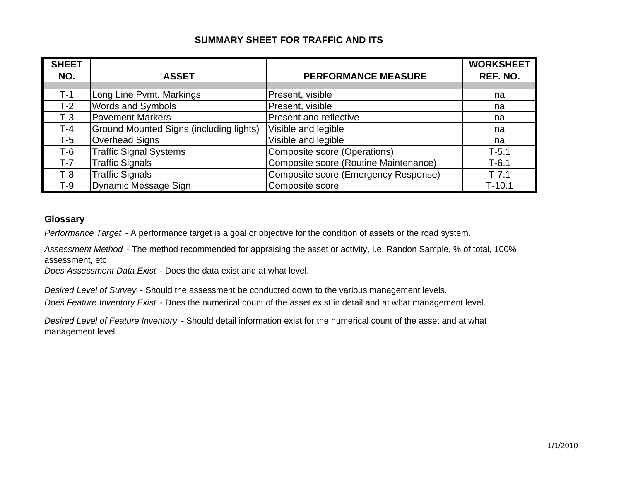| <b>SHEET</b> |                                                |                                       | <b>WORKSHEET</b> |
|--------------|------------------------------------------------|---------------------------------------|------------------|
| NO.          | <b>ASSET</b>                                   | <b>PERFORMANCE MEASURE</b>            | REF. NO.         |
|              |                                                |                                       |                  |
| $T-1$        | Long Line Pvmt. Markings                       | Present, visible                      | na               |
| $T-2$        | <b>Words and Symbols</b>                       | Present, visible                      | na               |
| $T-3$        | <b>Pavement Markers</b>                        | <b>Present and reflective</b>         | na               |
| $T-4$        | <b>Ground Mounted Signs (including lights)</b> | Visible and legible                   | na               |
| T-5          | <b>Overhead Signs</b>                          | Visible and legible                   | na               |
| $T-6$        | <b>Traffic Signal Systems</b>                  | Composite score (Operations)          | $T-5.1$          |
| $T-7$        | <b>Traffic Signals</b>                         | Composite score (Routine Maintenance) | $T-6.1$          |
| T-8          | <b>Traffic Signals</b>                         | Composite score (Emergency Response)  | $T - 7.1$        |
| T-9          | Dynamic Message Sign                           | Composite score                       | $T-10.1$         |

#### **Glossary**

*Performance Target* - A performance target is a goal or objective for the condition of assets or the road system.

*Assessment Method* - The method recommended for appraising the asset or activity, I.e. Randon Sample, % of total, 100% assessment, etc

*Does Assessment Data Exist* - Does the data exist and at what level.

*Desired Level of Survey* - Should the assessment be conducted down to the various management levels.

*Does Feature Inventory Exist* - Does the numerical count of the asset exist in detail and at what management level.

*Desired Level of Feature Inventory* - Should detail information exist for the numerical count of the asset and at what management level.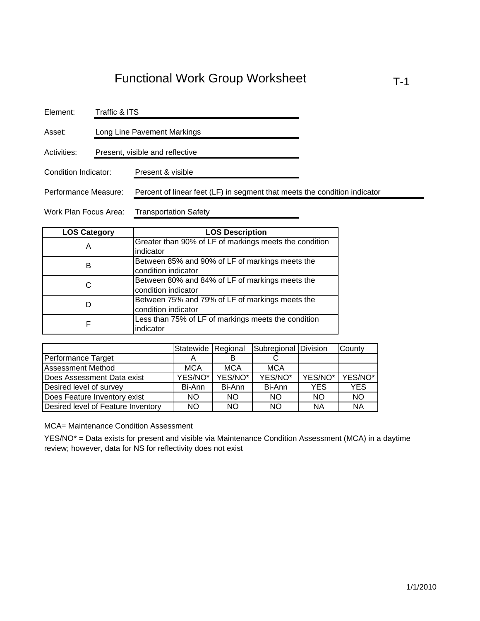| Element:              |  | Traffic & ITS                                                             |  |  |  |
|-----------------------|--|---------------------------------------------------------------------------|--|--|--|
| Asset:                |  | Long Line Pavement Markings                                               |  |  |  |
| Activities:           |  | Present, visible and reflective                                           |  |  |  |
| Condition Indicator:  |  | Present & visible                                                         |  |  |  |
| Performance Measure:  |  | Percent of linear feet (LF) in segment that meets the condition indicator |  |  |  |
| Work Plan Focus Area: |  | <b>Transportation Safety</b>                                              |  |  |  |

| <b>LOS Category</b> | <b>LOS Description</b>                                 |
|---------------------|--------------------------------------------------------|
| А                   | Greater than 90% of LF of markings meets the condition |
|                     | indicator                                              |
| в                   | Between 85% and 90% of LF of markings meets the        |
|                     | condition indicator                                    |
| C                   | Between 80% and 84% of LF of markings meets the        |
|                     | condition indicator                                    |
|                     | Between 75% and 79% of LF of markings meets the        |
|                     | condition indicator                                    |
| F                   | Less than 75% of LF of markings meets the condition    |
|                     | indicator                                              |

|                                    | Statewide Regional |            | Subregional Division |           | County     |
|------------------------------------|--------------------|------------|----------------------|-----------|------------|
| Performance Target                 |                    |            |                      |           |            |
| <b>Assessment Method</b>           | <b>MCA</b>         | <b>MCA</b> | <b>MCA</b>           |           |            |
| Does Assessment Data exist         | YES/NO*            | YES/NO*    | YES/NO*              | YES/NO*   | YES/NO*    |
| Desired level of survey            | Bi-Ann             | Bi-Ann     | Bi-Ann               | YES.      | <b>YES</b> |
| Does Feature Inventory exist       | NO.                | <b>NO</b>  | <b>NO</b>            | <b>NO</b> | <b>NO</b>  |
| Desired level of Feature Inventory | NO.                | <b>NO</b>  | <b>NO</b>            | <b>NA</b> | <b>NA</b>  |

MCA= Maintenance Condition Assessment

YES/NO\* = Data exists for present and visible via Maintenance Condition Assessment (MCA) in a daytime review; however, data for NS for reflectivity does not exist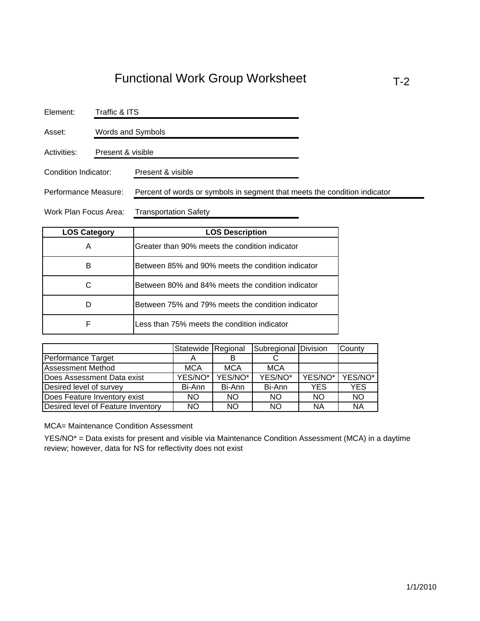| Element:             | Traffic & ITS     |                                                                           |  |  |
|----------------------|-------------------|---------------------------------------------------------------------------|--|--|
| Asset:               | Words and Symbols |                                                                           |  |  |
| Activities:          | Present & visible |                                                                           |  |  |
| Condition Indicator: |                   | Present & visible                                                         |  |  |
| Performance Measure: |                   | Percent of words or symbols in segment that meets the condition indicator |  |  |

Work Plan Focus Area: Transportation Safety

| <b>LOS Category</b> | <b>LOS Description</b>                            |
|---------------------|---------------------------------------------------|
| Α                   | Greater than 90% meets the condition indicator    |
| в                   | Between 85% and 90% meets the condition indicator |
|                     | Between 80% and 84% meets the condition indicator |
|                     | Between 75% and 79% meets the condition indicator |
| F                   | Less than 75% meets the condition indicator       |

|                                    | Statewide Regional |            | Subregional Division |           | County     |
|------------------------------------|--------------------|------------|----------------------|-----------|------------|
| Performance Target                 |                    |            |                      |           |            |
| <b>Assessment Method</b>           | <b>MCA</b>         | <b>MCA</b> | <b>MCA</b>           |           |            |
| Does Assessment Data exist         | YES/NO*            | YES/NO*    | YES/NO*              | YES/NO*   | YES/NO*    |
| Desired level of survey            | Bi-Ann             | Bi-Ann     | Bi-Ann               | YES       | <b>YES</b> |
| Does Feature Inventory exist       | NO.                | <b>NO</b>  | <b>NO</b>            | NO.       | <b>NO</b>  |
| Desired level of Feature Inventory | NO.                | <b>NO</b>  | <b>NO</b>            | <b>NA</b> | <b>NA</b>  |

MCA= Maintenance Condition Assessment

YES/NO\* = Data exists for present and visible via Maintenance Condition Assessment (MCA) in a daytime review; however, data for NS for reflectivity does not exist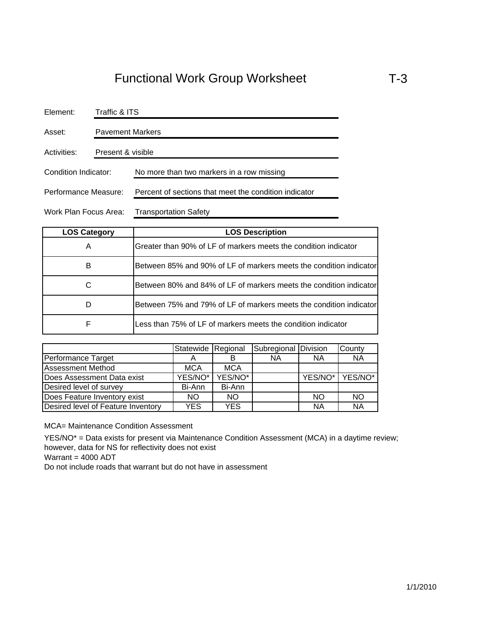| Element:              | Traffic & ITS           |                                                       |  |
|-----------------------|-------------------------|-------------------------------------------------------|--|
| Asset:                | <b>Pavement Markers</b> |                                                       |  |
| Activities:           | Present & visible       |                                                       |  |
| Condition Indicator:  |                         | No more than two markers in a row missing             |  |
| Performance Measure:  |                         | Percent of sections that meet the condition indicator |  |
| Work Plan Focus Area: |                         | <b>Transportation Safety</b>                          |  |

| <b>LOS Category</b> | <b>LOS Description</b>                                             |
|---------------------|--------------------------------------------------------------------|
| Α                   | Greater than 90% of LF of markers meets the condition indicator    |
| в                   | Between 85% and 90% of LF of markers meets the condition indicator |
| C                   | Between 80% and 84% of LF of markers meets the condition indicator |
|                     | Between 75% and 79% of LF of markers meets the condition indicator |
| F                   | Less than 75% of LF of markers meets the condition indicator       |

|                                    | Statewide Regional |            | Subregional Division |           | County    |
|------------------------------------|--------------------|------------|----------------------|-----------|-----------|
| Performance Target                 |                    |            | ΝA                   | <b>NA</b> | <b>NA</b> |
| <b>Assessment Method</b>           | <b>MCA</b>         | <b>MCA</b> |                      |           |           |
| Does Assessment Data exist         | YES/NO*            | YES/NO*    |                      | YES/NO*   | YES/NO*   |
| Desired level of survey            | Bi-Ann             | Bi-Ann     |                      |           |           |
| Does Feature Inventory exist       | NO.                | <b>NO</b>  |                      | <b>NO</b> | <b>NO</b> |
| Desired level of Feature Inventory | YES.               | <b>YES</b> |                      | <b>NA</b> | <b>NA</b> |

MCA= Maintenance Condition Assessment

YES/NO\* = Data exists for present via Maintenance Condition Assessment (MCA) in a daytime review; however, data for NS for reflectivity does not exist

Warrant = 4000 ADT

Do not include roads that warrant but do not have in assessment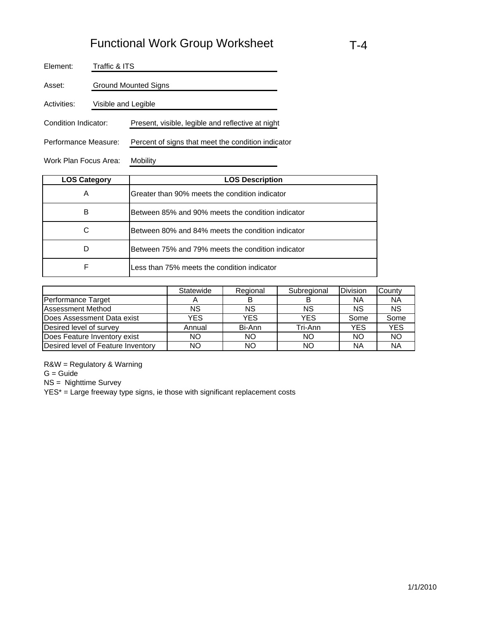| Element:              | Traffic & ITS               |                                                    |  |  |
|-----------------------|-----------------------------|----------------------------------------------------|--|--|
| Asset:                | <b>Ground Mounted Signs</b> |                                                    |  |  |
| Activities:           | Visible and Legible         |                                                    |  |  |
| Condition Indicator:  |                             | Present, visible, legible and reflective at night  |  |  |
| Performance Measure:  |                             | Percent of signs that meet the condition indicator |  |  |
| Work Plan Focus Area: |                             | Mobility                                           |  |  |

| <b>LOS Category</b> | <b>LOS Description</b>                            |
|---------------------|---------------------------------------------------|
| A                   | Greater than 90% meets the condition indicator    |
| В                   | Between 85% and 90% meets the condition indicator |
| C                   | Between 80% and 84% meets the condition indicator |
| D                   | Between 75% and 79% meets the condition indicator |
| F                   | Less than 75% meets the condition indicator       |

|                                    | Statewide | Regional | Subregional | Division   | County     |
|------------------------------------|-----------|----------|-------------|------------|------------|
| Performance Target                 |           |          |             | ΝA         | <b>NA</b>  |
| <b>Assessment Method</b>           | <b>NS</b> | ΝS       | ΝS          | NS         | <b>NS</b>  |
| Does Assessment Data exist         | YES       | YES      | <b>YES</b>  | Some       | Some       |
| Desired level of survey            | Annual    | Bi-Ann   | Tri-Ann     | <b>YES</b> | <b>YES</b> |
| Does Feature Inventory exist       | NO        | NΟ       | NO.         | NΟ         | <b>NO</b>  |
| Desired level of Feature Inventory | NO        | ΝO       | NΟ          | <b>NA</b>  | <b>NA</b>  |

R&W = Regulatory & Warning

 $G =$  Guide

NS = Nighttime Survey

YES\* = Large freeway type signs, ie those with significant replacement costs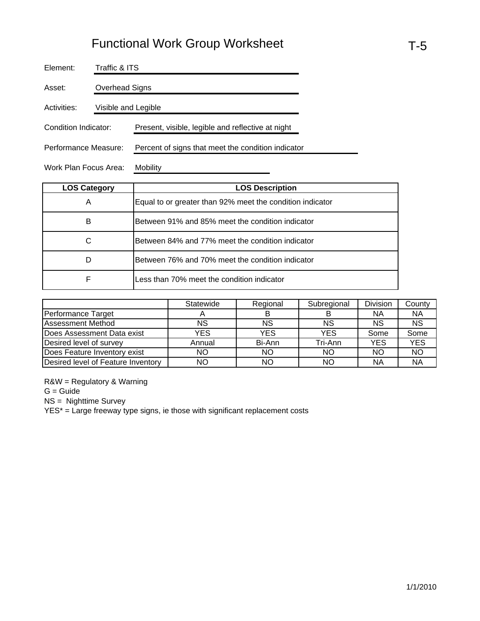| Element:              |                     | Traffic & ITS                                      |  |  |  |  |  |  |
|-----------------------|---------------------|----------------------------------------------------|--|--|--|--|--|--|
| Asset:                |                     | Overhead Signs                                     |  |  |  |  |  |  |
| Activities:           | Visible and Legible |                                                    |  |  |  |  |  |  |
| Condition Indicator:  |                     | Present, visible, legible and reflective at night  |  |  |  |  |  |  |
| Performance Measure:  |                     | Percent of signs that meet the condition indicator |  |  |  |  |  |  |
| Work Plan Focus Area: |                     | Mobility                                           |  |  |  |  |  |  |

| <b>LOS Category</b> | <b>LOS Description</b>                                    |
|---------------------|-----------------------------------------------------------|
| A                   | Equal to or greater than 92% meet the condition indicator |
| в                   | Between 91% and 85% meet the condition indicator          |
| C                   | Between 84% and 77% meet the condition indicator          |
| D                   | Between 76% and 70% meet the condition indicator          |
| F                   | Less than 70% meet the condition indicator                |

|                                    | Statewide | Regional  | Subregional | <b>Division</b> | County     |
|------------------------------------|-----------|-----------|-------------|-----------------|------------|
| Performance Target                 |           | В         |             | ΝA              | <b>NA</b>  |
| <b>Assessment Method</b>           | NS        | <b>NS</b> | ΝS          | ΝS              | <b>NS</b>  |
| Does Assessment Data exist         | YES       | YES       | <b>YES</b>  | Some            | Some       |
| Desired level of survey            | Annual    | Bi-Ann    | Tri-Ann     | YES             | <b>YES</b> |
| Does Feature Inventory exist       | ΝO        | NO        | ΝO          | ΝO              | <b>NO</b>  |
| Desired level of Feature Inventory | NΟ        | NO        | ΝO          | ΝA              | <b>NA</b>  |

R&W = Regulatory & Warning

G = Guide

NS = Nighttime Survey

YES\* = Large freeway type signs, ie those with significant replacement costs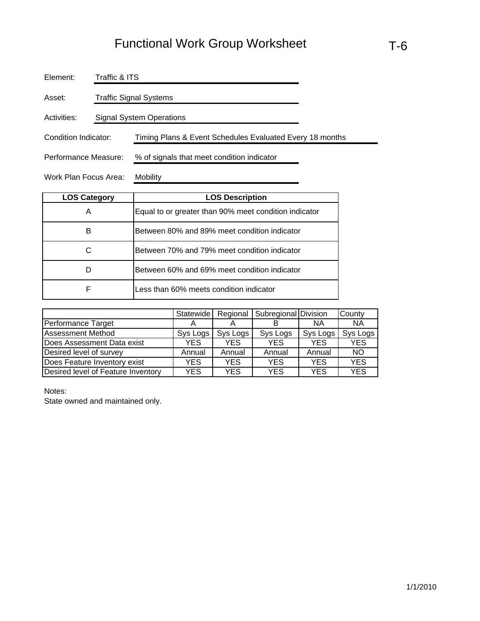| Element:                                                                         | Traffic & ITS          |                                            |  |  |  |  |  |
|----------------------------------------------------------------------------------|------------------------|--------------------------------------------|--|--|--|--|--|
| Asset:                                                                           | Traffic Signal Systems |                                            |  |  |  |  |  |
| Activities:                                                                      |                        | Signal System Operations                   |  |  |  |  |  |
| Condition Indicator:<br>Timing Plans & Event Schedules Evaluated Every 18 months |                        |                                            |  |  |  |  |  |
| Performance Measure:                                                             |                        | % of signals that meet condition indicator |  |  |  |  |  |
| Work Plan Focus Area:                                                            |                        | Mobility                                   |  |  |  |  |  |

| <b>LOS Category</b> | <b>LOS Description</b>                                |
|---------------------|-------------------------------------------------------|
| А                   | Equal to or greater than 90% meet condition indicator |
| в                   | Between 80% and 89% meet condition indicator          |
|                     | Between 70% and 79% meet condition indicator          |
|                     | Between 60% and 69% meet condition indicator          |
| F                   | Less than 60% meets condition indicator               |

|                                    | Statewide |            | Regional   Subregional Division |            | County     |
|------------------------------------|-----------|------------|---------------------------------|------------|------------|
| Performance Target                 |           |            |                                 | ΝA         | <b>NA</b>  |
| <b>Assessment Method</b>           | Sys Logs  | Sys Logs   | Sys Logs                        | Sys Logs   | Sys Logs   |
| Does Assessment Data exist         | YES.      | YES        | <b>YES</b>                      | <b>YES</b> | <b>YES</b> |
| Desired level of survey            | Annual    | Annual     | Annual                          | Annual     | <b>NO</b>  |
| Does Feature Inventory exist       | YES       | <b>YES</b> | <b>YES</b>                      | YES        | <b>YES</b> |
| Desired level of Feature Inventory | YES       | YES        | YES                             | YES        | <b>YES</b> |

Notes:

State owned and maintained only.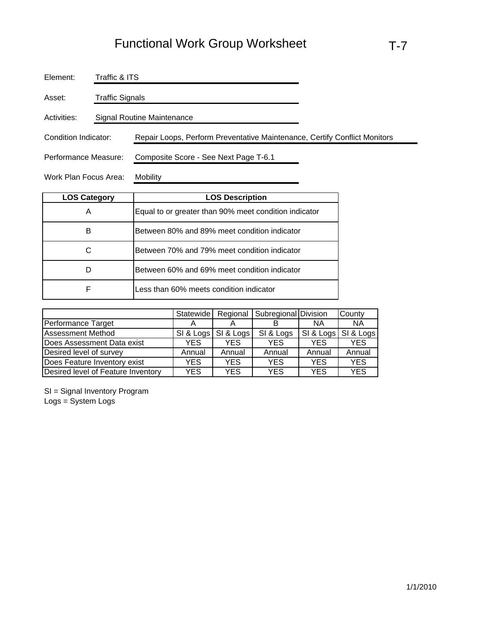| Element:             | Traffic & ITS   |                                                                           |
|----------------------|-----------------|---------------------------------------------------------------------------|
| Asset:               | Traffic Signals |                                                                           |
| Activities:          |                 | Signal Routine Maintenance                                                |
| Condition Indicator: |                 | Repair Loops, Perform Preventative Maintenance, Certify Conflict Monitors |
| Performance Measure: |                 | Composite Score - See Next Page T-6.1                                     |

Work Plan Focus Area: Mobility

| <b>LOS Category</b> | <b>LOS Description</b>                                |
|---------------------|-------------------------------------------------------|
| Α                   | Equal to or greater than 90% meet condition indicator |
| в                   | Between 80% and 89% meet condition indicator          |
|                     | Between 70% and 79% meet condition indicator          |
|                     | Between 60% and 69% meet condition indicator          |
| F                   | Less than 60% meets condition indicator               |

|                                    | Statewide |            | Regional   Subregional Division |            | County     |
|------------------------------------|-----------|------------|---------------------------------|------------|------------|
| Performance Target                 |           |            |                                 | <b>NA</b>  | ΝA         |
| <b>Assessment Method</b>           | SI & Logs | SI & Logs  | SI & Logs                       | SI & Logs  | SI & Logs  |
| Does Assessment Data exist         | YES.      | <b>YES</b> | <b>YES</b>                      | <b>YES</b> | <b>YES</b> |
| Desired level of survey            | Annual    | Annual     | Annual                          | Annual     | Annual     |
| Does Feature Inventory exist       | YES.      | <b>YES</b> | <b>YES</b>                      | <b>YES</b> | <b>YES</b> |
| Desired level of Feature Inventory | YES.      | YES        | YES                             | YES        | <b>YES</b> |

SI = Signal Inventory Program Logs = System Logs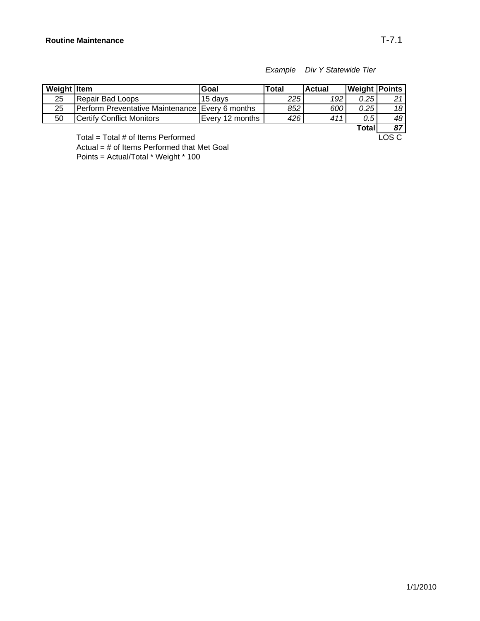#### *Example Div Y Statewide Tier*

| Weight Item |                                                   | Goal            | Total | lActual | <b>Weight Points</b> |     |
|-------------|---------------------------------------------------|-----------------|-------|---------|----------------------|-----|
| 25          | Repair Bad Loops                                  | 15 davs         | 225   | 192     | 0.25                 | ົາ  |
| 25          | IPerform Preventative Maintenance IEvery 6 months |                 | 852   | 600     | 0.25                 | 18  |
| 50          | <b>Certify Conflict Monitors</b>                  | Every 12 months | 426   | 411     | 0.5                  | 48  |
|             |                                                   |                 |       |         | - - -                | $-$ |

**Total 87**<br>**LOS C** 

Total = Total  $#$  of Items Performed Actual = # of Items Performed that Met Goal

Points = Actual/Total \* Weight \* 100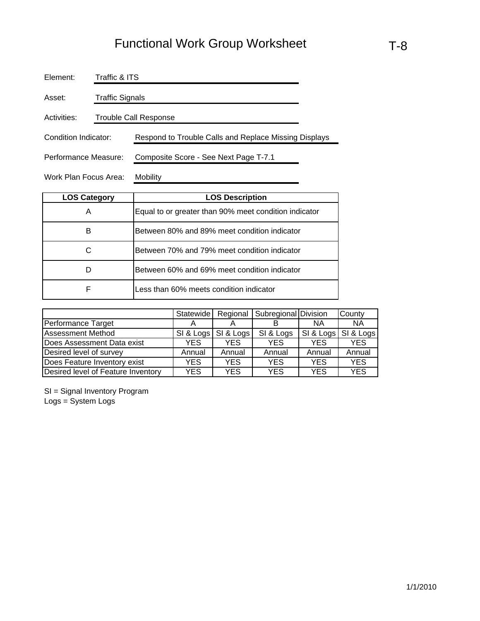| Element:              | Traffic & ITS          |                                                       |  |  |  |  |  |
|-----------------------|------------------------|-------------------------------------------------------|--|--|--|--|--|
| Asset:                | <b>Traffic Signals</b> |                                                       |  |  |  |  |  |
| Activities:           | Trouble Call Response  |                                                       |  |  |  |  |  |
| Condition Indicator:  |                        | Respond to Trouble Calls and Replace Missing Displays |  |  |  |  |  |
| Performance Measure:  |                        | Composite Score - See Next Page T-7.1                 |  |  |  |  |  |
| Work Plan Focus Area: |                        | <b>Mobility</b>                                       |  |  |  |  |  |

| <b>LOS Category</b> | <b>LOS Description</b>                                |  |  |  |  |
|---------------------|-------------------------------------------------------|--|--|--|--|
| Α                   | Equal to or greater than 90% meet condition indicator |  |  |  |  |
| в                   | Between 80% and 89% meet condition indicator          |  |  |  |  |
|                     | Between 70% and 79% meet condition indicator          |  |  |  |  |
|                     | Between 60% and 69% meet condition indicator          |  |  |  |  |
| F                   | Less than 60% meets condition indicator               |  |  |  |  |

|                                    | Statewide | Regional   | Subregional Division |            | County     |
|------------------------------------|-----------|------------|----------------------|------------|------------|
| Performance Target                 |           |            |                      | ΝA         | <b>NA</b>  |
| <b>Assessment Method</b>           | SI & Logs | SI & Logs  | SI & Logs            | SI & Logs  | SI & Logs  |
| Does Assessment Data exist         | YES.      | YES.       | <b>YES</b>           | YES.       | <b>YES</b> |
| Desired level of survey            | Annual    | Annual     | Annual               | Annual     | Annual     |
| Does Feature Inventory exist       | YES.      | <b>YES</b> | <b>YES</b>           | <b>YES</b> | <b>YES</b> |
| Desired level of Feature Inventory | YES.      | <b>YES</b> | YES                  | YES        | <b>YES</b> |

SI = Signal Inventory Program Logs = System Logs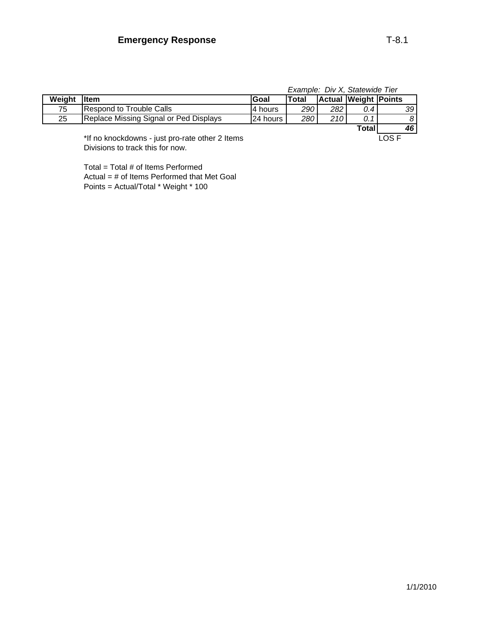|             |                                        | Example: Div X, Statewide Tier |       |     |                      |                 |
|-------------|----------------------------------------|--------------------------------|-------|-----|----------------------|-----------------|
| Weight Item |                                        | lGoal                          | Total |     | Actual Weight Points |                 |
| 75          | Respond to Trouble Calls               | 4 hours                        | 290   | 282 | 0.4 I                | 39 <sup>1</sup> |
| 25          | Replace Missing Signal or Ped Displays | 24 hours                       | 280   | 210 | 0.1                  | 8 <sup>1</sup>  |
|             |                                        |                                |       |     | Total                | 46              |

\*If no knockdowns - just pro-rate other 2 Items LOS F Divisions to track this for now.

Total = Total # of Items Performed Actual = # of Items Performed that Met Goal Points = Actual/Total \* Weight \* 100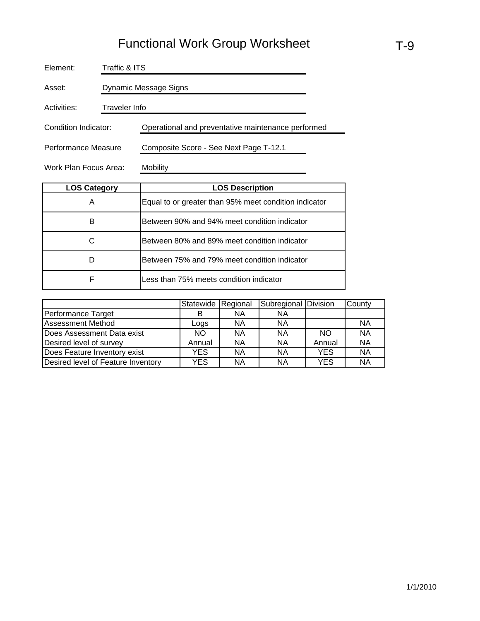| Element:              | Traffic & ITS         |                                                    |  |  |  |  |  |
|-----------------------|-----------------------|----------------------------------------------------|--|--|--|--|--|
| Asset:                | Dynamic Message Signs |                                                    |  |  |  |  |  |
| Activities:           | Traveler Info         |                                                    |  |  |  |  |  |
| Condition Indicator:  |                       | Operational and preventative maintenance performed |  |  |  |  |  |
| Performance Measure   |                       | Composite Score - See Next Page T-12.1             |  |  |  |  |  |
| Work Plan Focus Area: |                       | Mobility                                           |  |  |  |  |  |

| <b>LOS Category</b> | <b>LOS Description</b>                                |  |  |  |  |
|---------------------|-------------------------------------------------------|--|--|--|--|
| A                   | Equal to or greater than 95% meet condition indicator |  |  |  |  |
| в                   | Between 90% and 94% meet condition indicator          |  |  |  |  |
| C                   | Between 80% and 89% meet condition indicator          |  |  |  |  |
|                     | Between 75% and 79% meet condition indicator          |  |  |  |  |
| F                   | Less than 75% meets condition indicator               |  |  |  |  |

|                                    | Statewide Regional |           | Subregional Division |        | County    |
|------------------------------------|--------------------|-----------|----------------------|--------|-----------|
| Performance Target                 | в                  | <b>NA</b> | <b>NA</b>            |        |           |
| <b>Assessment Method</b>           | Logs               | <b>NA</b> | ΝA                   |        | <b>NA</b> |
| Does Assessment Data exist         | NO.                | <b>NA</b> | <b>NA</b>            | NO.    | <b>NA</b> |
| Desired level of survey            | Annual             | <b>NA</b> | ΝA                   | Annual | <b>NA</b> |
| Does Feature Inventory exist       | YES                | <b>NA</b> | <b>NA</b>            | YES    | <b>NA</b> |
| Desired level of Feature Inventory | YES                | NA        | <b>NA</b>            | YES    | <b>NA</b> |